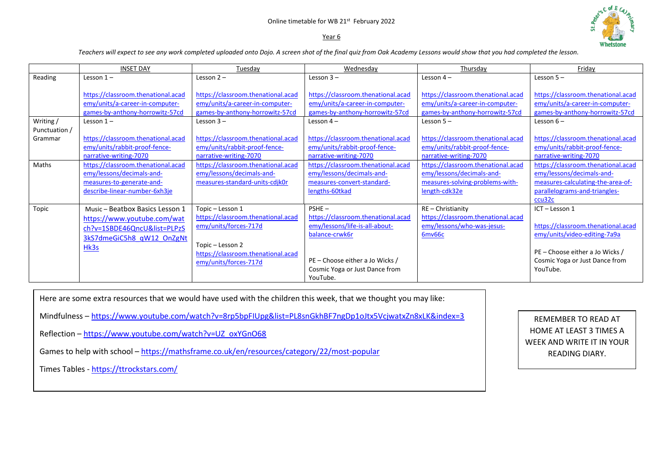## Online timetable for WB 21st February 2022

#### Year 6



*Teachers will expect to see any work completed uploaded onto Dojo. A screen shot of the final quiz from Oak Academy Lessons would show that you had completed the lesson.* 

|                          | <b>INSET DAY</b>                                                                                                                   | Tuesday                                                                                                                                                            | Wednesday                                                                                                                                                                           | Thursday                                                                                                            | Friday                                                                                                                                                              |
|--------------------------|------------------------------------------------------------------------------------------------------------------------------------|--------------------------------------------------------------------------------------------------------------------------------------------------------------------|-------------------------------------------------------------------------------------------------------------------------------------------------------------------------------------|---------------------------------------------------------------------------------------------------------------------|---------------------------------------------------------------------------------------------------------------------------------------------------------------------|
| Reading                  | Lesson $1-$                                                                                                                        | Lesson $2 -$                                                                                                                                                       | Lesson $3 -$                                                                                                                                                                        | Lesson $4-$                                                                                                         | Lesson $5 -$                                                                                                                                                        |
|                          | https://classroom.thenational.acad<br>emy/units/a-career-in-computer-<br>games-by-anthony-horrowitz-57cd                           | https://classroom.thenational.acad<br>emy/units/a-career-in-computer-<br>games-by-anthony-horrowitz-57cd                                                           | https://classroom.thenational.acad<br>emy/units/a-career-in-computer-<br>games-by-anthony-horrowitz-57cd                                                                            | https://classroom.thenational.acad<br>emy/units/a-career-in-computer-<br>games-by-anthony-horrowitz-57cd            | https://classroom.thenational.acad<br>emy/units/a-career-in-computer-<br>games-by-anthony-horrowitz-57cd                                                            |
| Writing /                | Lesson $1-$                                                                                                                        | Lesson $3 -$                                                                                                                                                       | Lesson $4-$                                                                                                                                                                         | Lesson $5-$                                                                                                         | Lesson $6-$                                                                                                                                                         |
| Punctuation /<br>Grammar | https://classroom.thenational.acad<br>emy/units/rabbit-proof-fence-<br>narrative-writing-7070                                      | https://classroom.thenational.acad<br>emy/units/rabbit-proof-fence-<br>narrative-writing-7070                                                                      | https://classroom.thenational.acad<br>emy/units/rabbit-proof-fence-<br>narrative-writing-7070                                                                                       | https://classroom.thenational.acad<br>emy/units/rabbit-proof-fence-<br>narrative-writing-7070                       | https://classroom.thenational.acad<br>emy/units/rabbit-proof-fence-<br>narrative-writing-7070                                                                       |
| Maths                    | https://classroom.thenational.acad<br>emy/lessons/decimals-and-<br>measures-to-generate-and-<br>describe-linear-number-6xh3je      | https://classroom.thenational.acad<br>emy/lessons/decimals-and-<br>measures-standard-units-cdjk0r                                                                  | https://classroom.thenational.acad<br>emy/lessons/decimals-and-<br>measures-convert-standard-<br>lengths-60tkad                                                                     | https://classroom.thenational.acad<br>emy/lessons/decimals-and-<br>measures-solving-problems-with-<br>length-cdk32e | https://classroom.thenational.acad<br>emy/lessons/decimals-and-<br>measures-calculating-the-area-of-<br>parallelograms-and-triangles-<br>ccu32c                     |
| Topic                    | Music - Beatbox Basics Lesson 1<br>https://www.youtube.com/wat<br>ch?v=1SBDE46QncU&list=PLPzS<br>3kS7dmeGiC5h8 qW12 OnZgNt<br>Hk3s | Topic - Lesson 1<br>https://classroom.thenational.acad<br>emy/units/forces-717d<br>Topic - Lesson 2<br>https://classroom.thenational.acad<br>emy/units/forces-717d | $PSHE -$<br>https://classroom.thenational.acad<br>emy/lessons/life-is-all-about-<br>balance-crwk6r<br>PE – Choose either a Jo Wicks /<br>Cosmic Yoga or Just Dance from<br>YouTube. | RE-Christianity<br>https://classroom.thenational.acad<br>emy/lessons/who-was-jesus-<br>6mv66c                       | ICT-Lesson 1<br>https://classroom.thenational.acad<br>emy/units/video-editing-7a9a<br>PE - Choose either a Jo Wicks /<br>Cosmic Yoga or Just Dance from<br>YouTube. |

Here are some extra resources that we would have used with the children this week, that we thought you may like:

Mindfulness – <https://www.youtube.com/watch?v=8rp5bpFIUpg&list=PL8snGkhBF7ngDp1oJtx5VcjwatxZn8xLK&index=3>

Reflection – [https://www.youtube.com/watch?v=UZ\\_oxYGnO68](https://www.youtube.com/watch?v=UZ_oxYGnO68)

Games to help with school – <https://mathsframe.co.uk/en/resources/category/22/most-popular>

Times Tables - <https://ttrockstars.com/>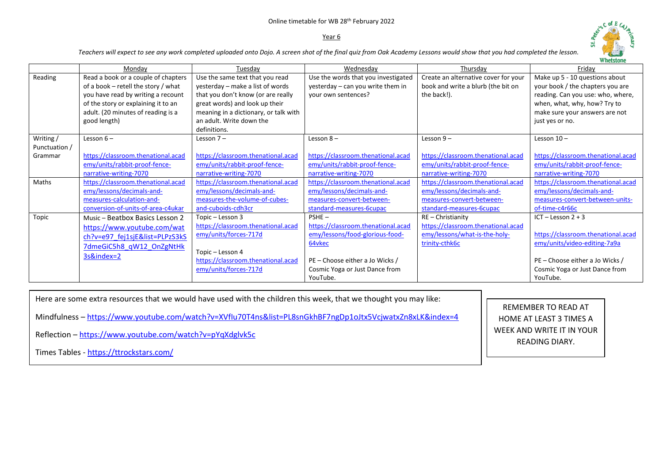# Online timetable for WB 28th February 2022

## Year 6



*Teachers will expect to see any work completed uploaded onto Dojo. A screen shot of the final quiz from Oak Academy Lessons would show that you had completed the lesson.* 

|               |                                                                                                                                                                                                                 |                                                                                                                                                                                                                                  |                                                                                                 |                                                                                           | w netstone                                                                                                                                                                                   |
|---------------|-----------------------------------------------------------------------------------------------------------------------------------------------------------------------------------------------------------------|----------------------------------------------------------------------------------------------------------------------------------------------------------------------------------------------------------------------------------|-------------------------------------------------------------------------------------------------|-------------------------------------------------------------------------------------------|----------------------------------------------------------------------------------------------------------------------------------------------------------------------------------------------|
|               | Mondav                                                                                                                                                                                                          | Tuesdav                                                                                                                                                                                                                          | Wednesday                                                                                       | Thursdav                                                                                  | Fridav                                                                                                                                                                                       |
| Reading       | Read a book or a couple of chapters<br>of a book $-$ retell the story / what<br>you have read by writing a recount<br>of the story or explaining it to an<br>adult. (20 minutes of reading is a<br>good length) | Use the same text that you read<br>yesterday - make a list of words<br>that you don't know (or are really<br>great words) and look up their<br>meaning in a dictionary, or talk with<br>an adult. Write down the<br>definitions. | Use the words that you investigated<br>yesterday - can you write them in<br>your own sentences? | Create an alternative cover for your<br>book and write a blurb (the bit on<br>the back!). | Make up 5 - 10 questions about<br>your book / the chapters you are<br>reading. Can you use: who, where,<br>when, what, why, how? Try to<br>make sure your answers are not<br>just yes or no. |
| Writing /     | Lesson $6-$                                                                                                                                                                                                     | Lesson $7-$                                                                                                                                                                                                                      | Lesson $8-$                                                                                     | Lesson $9-$                                                                               | Lesson $10 -$                                                                                                                                                                                |
| Punctuation / |                                                                                                                                                                                                                 |                                                                                                                                                                                                                                  |                                                                                                 |                                                                                           |                                                                                                                                                                                              |
| Grammar       | https://classroom.thenational.acad                                                                                                                                                                              | https://classroom.thenational.acad                                                                                                                                                                                               | https://classroom.thenational.acad                                                              | https://classroom.thenational.acad                                                        | https://classroom.thenational.acad                                                                                                                                                           |
|               | emy/units/rabbit-proof-fence-                                                                                                                                                                                   | emy/units/rabbit-proof-fence-                                                                                                                                                                                                    | emy/units/rabbit-proof-fence-                                                                   | emy/units/rabbit-proof-fence-                                                             | emy/units/rabbit-proof-fence-                                                                                                                                                                |
|               | narrative-writing-7070                                                                                                                                                                                          | narrative-writing-7070                                                                                                                                                                                                           | narrative-writing-7070                                                                          | narrative-writing-7070                                                                    | narrative-writing-7070                                                                                                                                                                       |
| Maths         | https://classroom.thenational.acad                                                                                                                                                                              | https://classroom.thenational.acad                                                                                                                                                                                               | https://classroom.thenational.acad                                                              | https://classroom.thenational.acad                                                        | https://classroom.thenational.acad                                                                                                                                                           |
|               | emy/lessons/decimals-and-                                                                                                                                                                                       | emy/lessons/decimals-and-                                                                                                                                                                                                        | emy/lessons/decimals-and-                                                                       | emy/lessons/decimals-and-                                                                 | emy/lessons/decimals-and-                                                                                                                                                                    |
|               | measures-calculation-and-                                                                                                                                                                                       | measures-the-volume-of-cubes-                                                                                                                                                                                                    | measures-convert-between-                                                                       | measures-convert-between-                                                                 | measures-convert-between-units-                                                                                                                                                              |
|               | conversion-of-units-of-area-c4ukar                                                                                                                                                                              | and-cuboids-cdh3cr                                                                                                                                                                                                               | standard-measures-6cupac                                                                        | standard-measures-6cupac                                                                  | of-time-c4r66c                                                                                                                                                                               |
| Topic         | Music - Beatbox Basics Lesson 2                                                                                                                                                                                 | Topic - Lesson 3                                                                                                                                                                                                                 | $PSHE -$                                                                                        | $RE$ – Christianity                                                                       | ICT-Lesson 2+3                                                                                                                                                                               |
|               | https://www.youtube.com/wat                                                                                                                                                                                     | https://classroom.thenational.acad                                                                                                                                                                                               | https://classroom.thenational.acad                                                              | https://classroom.thenational.acad                                                        |                                                                                                                                                                                              |
|               | ch?v=e97 fej1sjE&list=PLPzS3kS                                                                                                                                                                                  | emy/units/forces-717d                                                                                                                                                                                                            | emy/lessons/food-glorious-food-                                                                 | emy/lessons/what-is-the-holy-                                                             | https://classroom.thenational.acad                                                                                                                                                           |
|               | 7dmeGiC5h8 qW12 OnZgNtHk                                                                                                                                                                                        |                                                                                                                                                                                                                                  | 64vkec                                                                                          | trinity-cthk6c                                                                            | emy/units/video-editing-7a9a                                                                                                                                                                 |
|               | 3s&index=2                                                                                                                                                                                                      | Topic - Lesson 4                                                                                                                                                                                                                 |                                                                                                 |                                                                                           |                                                                                                                                                                                              |
|               |                                                                                                                                                                                                                 | https://classroom.thenational.acad                                                                                                                                                                                               | PE - Choose either a Jo Wicks /                                                                 |                                                                                           | PE – Choose either a Jo Wicks /                                                                                                                                                              |
|               |                                                                                                                                                                                                                 | emy/units/forces-717d                                                                                                                                                                                                            | Cosmic Yoga or Just Dance from                                                                  |                                                                                           | Cosmic Yoga or Just Dance from                                                                                                                                                               |
|               |                                                                                                                                                                                                                 |                                                                                                                                                                                                                                  | YouTube.                                                                                        |                                                                                           | YouTube.                                                                                                                                                                                     |

Here are some extra resources that we would have used with the children this week, that we thought you may like:

Mindfulness – <https://www.youtube.com/watch?v=XVfIu70T4ns&list=PL8snGkhBF7ngDp1oJtx5VcjwatxZn8xLK&index=4>

Reflection – <https://www.youtube.com/watch?v=pYqXdglvk5c>

Times Tables - <https://ttrockstars.com/>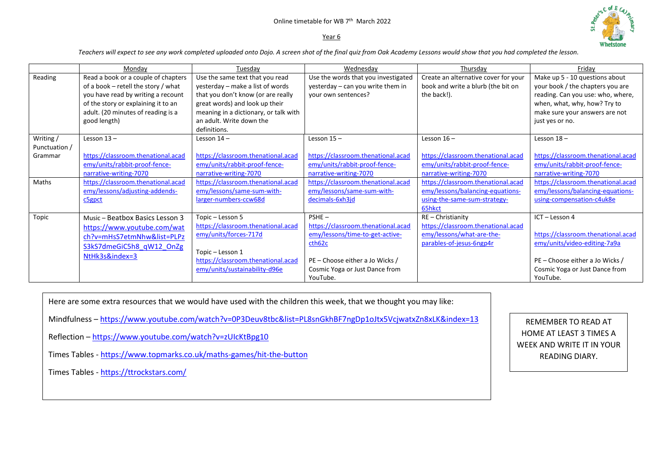## Online timetable for WB 7<sup>th</sup> March 2022

## Year 6



*Teachers will expect to see any work completed uploaded onto Dojo. A screen shot of the final quiz from Oak Academy Lessons would show that you had completed the lesson.* 

|                                      | Mondav                                                                                                                                                                                                        | Tuesday                                                                                                                                                                                                                          | Wednesdav                                                                                                                                                                    | Thursdav                                                                                                         | Friday                                                                                                                                                                                       |
|--------------------------------------|---------------------------------------------------------------------------------------------------------------------------------------------------------------------------------------------------------------|----------------------------------------------------------------------------------------------------------------------------------------------------------------------------------------------------------------------------------|------------------------------------------------------------------------------------------------------------------------------------------------------------------------------|------------------------------------------------------------------------------------------------------------------|----------------------------------------------------------------------------------------------------------------------------------------------------------------------------------------------|
| Reading                              | Read a book or a couple of chapters<br>of a book – retell the story / what<br>you have read by writing a recount<br>of the story or explaining it to an<br>adult. (20 minutes of reading is a<br>good length) | Use the same text that you read<br>yesterday – make a list of words<br>that you don't know (or are really<br>great words) and look up their<br>meaning in a dictionary, or talk with<br>an adult. Write down the<br>definitions. | Use the words that you investigated<br>yesterday – can you write them in<br>your own sentences?                                                                              | Create an alternative cover for your<br>book and write a blurb (the bit on<br>the back!).                        | Make up 5 - 10 questions about<br>your book / the chapters you are<br>reading. Can you use: who, where,<br>when, what, why, how? Try to<br>make sure your answers are not<br>just yes or no. |
| Writing/<br>Punctuation /<br>Grammar | Lesson $13 -$<br>https://classroom.thenational.acad<br>emy/units/rabbit-proof-fence-<br>narrative-writing-7070                                                                                                | Lesson $14 -$<br>https://classroom.thenational.acad<br>emy/units/rabbit-proof-fence-<br>narrative-writing-7070                                                                                                                   | Lesson $15 -$<br>https://classroom.thenational.acad<br>emy/units/rabbit-proof-fence-<br>narrative-writing-7070                                                               | Lesson $16 -$<br>https://classroom.thenational.acad<br>emy/units/rabbit-proof-fence-<br>narrative-writing-7070   | Lesson $18 -$<br>https://classroom.thenational.acad<br>emy/units/rabbit-proof-fence-<br>narrative-writing-7070                                                                               |
| Maths                                | https://classroom.thenational.acad<br>emy/lessons/adjusting-addends-<br>c5gpct                                                                                                                                | https://classroom.thenational.acad<br>emy/lessons/same-sum-with-<br>larger-numbers-ccw68d                                                                                                                                        | https://classroom.thenational.acad<br>emy/lessons/same-sum-with-<br>decimals-6xh3jd                                                                                          | https://classroom.thenational.acad<br>emy/lessons/balancing-equations-<br>using-the-same-sum-strategy-<br>65hkct | https://classroom.thenational.acad<br>emy/lessons/balancing-equations-<br>using-compensation-c4uk8e                                                                                          |
| Topic                                | Music - Beatbox Basics Lesson 3<br>https://www.youtube.com/wat<br>ch?v=mHsS7etmNhw&list=PLPz<br>S3kS7dmeGiC5h8 qW12 OnZg<br>NtHk3s&index=3                                                                    | Topic - Lesson 5<br>https://classroom.thenational.acad<br>emy/units/forces-717d<br>Topic - Lesson 1<br>https://classroom.thenational.acad<br>emy/units/sustainability-d96e                                                       | $PSHE -$<br>https://classroom.thenational.acad<br>emy/lessons/time-to-get-active-<br>cth62c<br>PE - Choose either a Jo Wicks /<br>Cosmic Yoga or Just Dance from<br>YouTube. | RE - Christianity<br>https://classroom.thenational.acad<br>emy/lessons/what-are-the-<br>parables-of-jesus-6ngp4r | ICT - Lesson 4<br>https://classroom.thenational.acad<br>emy/units/video-editing-7a9a<br>PE - Choose either a Jo Wicks /<br>Cosmic Yoga or Just Dance from<br>YouTube.                        |

Here are some extra resources that we would have used with the children this week, that we thought you may like:

Mindfulness - <https://www.youtube.com/watch?v=0P3Deuv8tbc&list=PL8snGkhBF7ngDp1oJtx5VcjwatxZn8xLK&index=13>

Reflection – <https://www.youtube.com/watch?v=zUIcKtBpg10>

Times Tables - <https://www.topmarks.co.uk/maths-games/hit-the-button>

Times Tables - <https://ttrockstars.com/>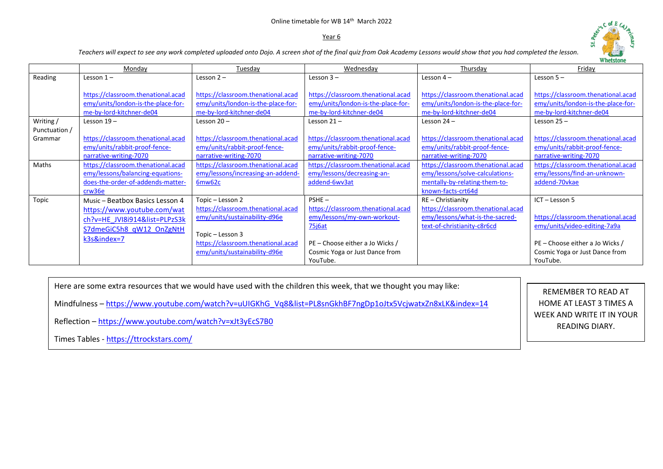## Online timetable for WB 14<sup>th</sup> March 2022

#### Year 6



*Teachers will expect to see any work completed uploaded onto Dojo. A screen shot of the final quiz from Oak Academy Lessons would show that you had completed the lesson.* 

|               | <b>Whetstone</b>                                                                                     |                                                                                                      |                                                                                                      |                                                                                                      |                                                                                                      |  |
|---------------|------------------------------------------------------------------------------------------------------|------------------------------------------------------------------------------------------------------|------------------------------------------------------------------------------------------------------|------------------------------------------------------------------------------------------------------|------------------------------------------------------------------------------------------------------|--|
|               | Monday                                                                                               | Tuesday                                                                                              | Wednesday                                                                                            | Thursday                                                                                             | Friday                                                                                               |  |
| Reading       | Lesson $1-$                                                                                          | Lesson $2 -$                                                                                         | Lesson $3 -$                                                                                         | Lesson $4-$                                                                                          | Lesson $5-$                                                                                          |  |
|               | https://classroom.thenational.acad<br>emy/units/london-is-the-place-for-<br>me-by-lord-kitchner-de04 | https://classroom.thenational.acad<br>emy/units/london-is-the-place-for-<br>me-by-lord-kitchner-de04 | https://classroom.thenational.acad<br>emy/units/london-is-the-place-for-<br>me-by-lord-kitchner-de04 | https://classroom.thenational.acad<br>emy/units/london-is-the-place-for-<br>me-by-lord-kitchner-de04 | https://classroom.thenational.acad<br>emy/units/london-is-the-place-for-<br>me-by-lord-kitchner-de04 |  |
| Writing/      | Lesson $19 -$                                                                                        | Lesson $20 -$                                                                                        | Lesson $21 -$                                                                                        | Lesson $24 -$                                                                                        | Lesson $25 -$                                                                                        |  |
| Punctuation / |                                                                                                      |                                                                                                      |                                                                                                      |                                                                                                      |                                                                                                      |  |
| Grammar       | https://classroom.thenational.acad                                                                   | https://classroom.thenational.acad                                                                   | https://classroom.thenational.acad                                                                   | https://classroom.thenational.acad                                                                   | https://classroom.thenational.acad                                                                   |  |
|               | emy/units/rabbit-proof-fence-                                                                        | emy/units/rabbit-proof-fence-                                                                        | emy/units/rabbit-proof-fence-                                                                        | emy/units/rabbit-proof-fence-                                                                        | emy/units/rabbit-proof-fence-                                                                        |  |
|               | narrative-writing-7070                                                                               | narrative-writing-7070                                                                               | narrative-writing-7070                                                                               | narrative-writing-7070                                                                               | narrative-writing-7070                                                                               |  |
| Maths         | https://classroom.thenational.acad                                                                   | https://classroom.thenational.acad                                                                   | https://classroom.thenational.acad                                                                   | https://classroom.thenational.acad                                                                   | https://classroom.thenational.acad                                                                   |  |
|               | emy/lessons/balancing-equations-                                                                     | emy/lessons/increasing-an-addend-                                                                    | emy/lessons/decreasing-an-                                                                           | emy/lessons/solve-calculations-                                                                      | emy/lessons/find-an-unknown-                                                                         |  |
|               | does-the-order-of-addends-matter-                                                                    | 6mw62c                                                                                               | addend-6wv3at                                                                                        | mentally-by-relating-them-to-                                                                        | addend-70vkae                                                                                        |  |
|               | crw36e                                                                                               |                                                                                                      |                                                                                                      | known-facts-crt64d                                                                                   |                                                                                                      |  |
| Topic         | Music - Beatbox Basics Lesson 4                                                                      | Topic - Lesson 2                                                                                     | $PSHE -$                                                                                             | RE-Christianity                                                                                      | ICT-Lesson 5                                                                                         |  |
|               | https://www.youtube.com/wat                                                                          | https://classroom.thenational.acad                                                                   | https://classroom.thenational.acad                                                                   | https://classroom.thenational.acad                                                                   |                                                                                                      |  |
|               | ch?v=HE JVI8i914&list=PLPzS3k                                                                        | emy/units/sustainability-d96e                                                                        | emy/lessons/my-own-workout-                                                                          | emy/lessons/what-is-the-sacred-                                                                      | https://classroom.thenational.acad                                                                   |  |
|               | S7dmeGiC5h8 qW12 OnZgNtH                                                                             |                                                                                                      | $75$ j $6at$                                                                                         | text-of-christianity-c8r6cd                                                                          | emy/units/video-editing-7a9a                                                                         |  |
|               | k3s&index=7                                                                                          | Topic - Lesson 3                                                                                     |                                                                                                      |                                                                                                      |                                                                                                      |  |
|               |                                                                                                      | https://classroom.thenational.acad                                                                   | PE - Choose either a Jo Wicks /                                                                      |                                                                                                      | PE - Choose either a Jo Wicks /                                                                      |  |
|               |                                                                                                      | emy/units/sustainability-d96e                                                                        | Cosmic Yoga or Just Dance from                                                                       |                                                                                                      | Cosmic Yoga or Just Dance from                                                                       |  |
|               |                                                                                                      |                                                                                                      | YouTube.                                                                                             |                                                                                                      | YouTube.                                                                                             |  |

Here are some extra resources that we would have used with the children this week, that we thought you may like:

Mindfulness – [https://www.youtube.com/watch?v=uUIGKhG\\_Vq8&list=PL8snGkhBF7ngDp1oJtx5VcjwatxZn8xLK&index=14](https://www.youtube.com/watch?v=uUIGKhG_Vq8&list=PL8snGkhBF7ngDp1oJtx5VcjwatxZn8xLK&index=14)

Reflection – <https://www.youtube.com/watch?v=xJt3yEcS7B0>

Times Tables - <https://ttrockstars.com/>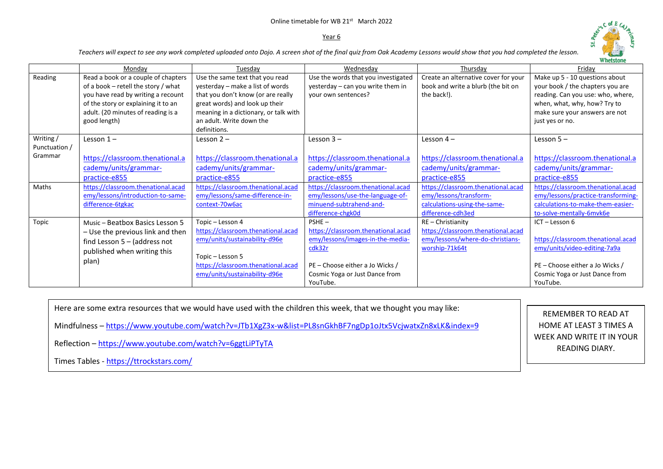#### Online timetable for WB 21<sup>st</sup> March 2022

## Year 6



*Teachers will expect to see any work completed uploaded onto Dojo. A screen shot of the final quiz from Oak Academy Lessons would show that you had completed the lesson.* 

|                                       |                                                                                                                                                                                                               |                                                                                                                                                                                                                                  |                                                                                                                                                                               |                                                                                                                   | м цектопе                                                                                                                                                                                    |
|---------------------------------------|---------------------------------------------------------------------------------------------------------------------------------------------------------------------------------------------------------------|----------------------------------------------------------------------------------------------------------------------------------------------------------------------------------------------------------------------------------|-------------------------------------------------------------------------------------------------------------------------------------------------------------------------------|-------------------------------------------------------------------------------------------------------------------|----------------------------------------------------------------------------------------------------------------------------------------------------------------------------------------------|
|                                       | Monday                                                                                                                                                                                                        | Tuesday                                                                                                                                                                                                                          | Wednesday                                                                                                                                                                     | Thursday                                                                                                          | Friday                                                                                                                                                                                       |
| Reading                               | Read a book or a couple of chapters<br>of a book - retell the story / what<br>you have read by writing a recount<br>of the story or explaining it to an<br>adult. (20 minutes of reading is a<br>good length) | Use the same text that you read<br>yesterday - make a list of words<br>that you don't know (or are really<br>great words) and look up their<br>meaning in a dictionary, or talk with<br>an adult. Write down the<br>definitions. | Use the words that you investigated<br>yesterday - can you write them in<br>your own sentences?                                                                               | Create an alternative cover for your<br>book and write a blurb (the bit on<br>the back!).                         | Make up 5 - 10 questions about<br>your book / the chapters you are<br>reading. Can you use: who, where,<br>when, what, why, how? Try to<br>make sure your answers are not<br>just yes or no. |
| Writing /<br>Punctuation /<br>Grammar | Lesson $1-$<br>https://classroom.thenational.a<br>cademy/units/grammar-<br>practice-e855                                                                                                                      | Lesson $2 -$<br>https://classroom.thenational.a<br>cademy/units/grammar-<br>practice-e855                                                                                                                                        | Lesson $3 -$<br>https://classroom.thenational.a<br>cademy/units/grammar-<br>practice-e855                                                                                     | Lesson $4-$<br>https://classroom.thenational.a<br>cademy/units/grammar-<br>practice-e855                          | Lesson $5 -$<br>https://classroom.thenational.a<br>cademy/units/grammar-<br>practice-e855                                                                                                    |
| Maths                                 | https://classroom.thenational.acad<br>emy/lessons/introduction-to-same-<br>difference-6tgkac                                                                                                                  | https://classroom.thenational.acad<br>emy/lessons/same-difference-in-<br>context-70w6ac                                                                                                                                          | https://classroom.thenational.acad<br>emy/lessons/use-the-language-of-<br>minuend-subtrahend-and-<br>difference-chgk0d                                                        | https://classroom.thenational.acad<br>emy/lessons/transform-<br>calculations-using-the-same-<br>difference-cdh3ed | https://classroom.thenational.acad<br>emy/lessons/practice-transforming-<br>calculations-to-make-them-easier-<br>to-solve-mentally-6mvk6e                                                    |
| Topic                                 | Music - Beatbox Basics Lesson 5<br>- Use the previous link and then<br>find Lesson $5 -$ (address not<br>published when writing this<br>plan)                                                                 | Topic - Lesson 4<br>https://classroom.thenational.acad<br>emy/units/sustainability-d96e<br>Topic - Lesson 5<br>https://classroom.thenational.acad<br>emy/units/sustainability-d96e                                               | $PSHE -$<br>https://classroom.thenational.acad<br>emy/lessons/images-in-the-media-<br>cdk32r<br>PE - Choose either a Jo Wicks /<br>Cosmic Yoga or Just Dance from<br>YouTube. | $RE$ - Christianity<br>https://classroom.thenational.acad<br>emy/lessons/where-do-christians-<br>worship-71k64t   | ICT - Lesson 6<br>https://classroom.thenational.acad<br>emy/units/video-editing-7a9a<br>PE - Choose either a Jo Wicks /<br>Cosmic Yoga or Just Dance from<br>YouTube.                        |

Here are some extra resources that we would have used with the children this week, that we thought you may like:

Mindfulness – <https://www.youtube.com/watch?v=JTb1XgZ3x-w&list=PL8snGkhBF7ngDp1oJtx5VcjwatxZn8xLK&index=9>

Reflection – <https://www.youtube.com/watch?v=6ggtLiPTyTA>

Times Tables - <https://ttrockstars.com/>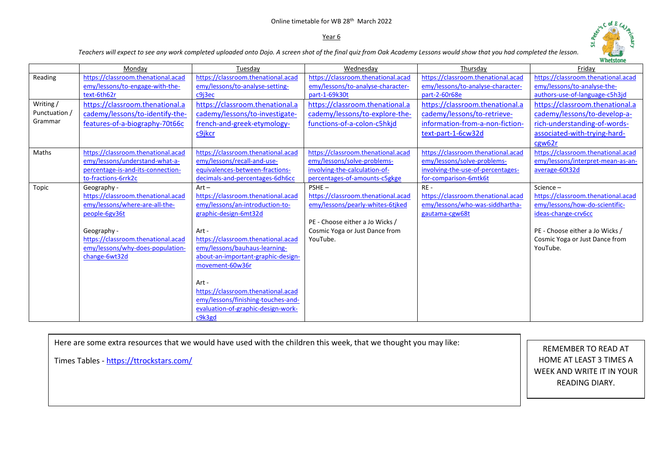# Online timetable for WB 28th March 2022

### Year 6



*Teachers will expect to see any work completed uploaded onto Dojo. A screen shot of the final quiz from Oak Academy Lessons would show that you had completed the lesson.* 

|               |                                    |                                    |                                    |                                    | <b>Whetstone</b>                   |
|---------------|------------------------------------|------------------------------------|------------------------------------|------------------------------------|------------------------------------|
|               | Monday                             | Tuesday                            | Wednesday                          | Thursday                           | Friday                             |
| Reading       | https://classroom.thenational.acad | https://classroom.thenational.acad | https://classroom.thenational.acad | https://classroom.thenational.acad | https://classroom.thenational.acad |
|               | emy/lessons/to-engage-with-the-    | emy/lessons/to-analyse-setting-    | emy/lessons/to-analyse-character-  | emy/lessons/to-analyse-character-  | emy/lessons/to-analyse-the-        |
|               | text-6th62r                        | c9i3ec                             | part-1-69k30t                      | part-2-60r68e                      | authors-use-of-language-c5h3jd     |
| Writing /     | https://classroom.thenational.a    | https://classroom.thenational.a    | https://classroom.thenational.a    | https://classroom.thenational.a    | https://classroom.thenational.a    |
| Punctuation / | cademy/lessons/to-identify-the-    | cademy/lessons/to-investigate-     | cademy/lessons/to-explore-the-     | cademy/lessons/to-retrieve-        | cademy/lessons/to-develop-a-       |
| Grammar       | features-of-a-biography-70t66c     | french-and-greek-etymology-        | functions-of-a-colon-c5hkjd        | information-from-a-non-fiction-    | rich-understanding-of-words-       |
|               |                                    | c9jkcr                             |                                    | text-part-1-6cw32d                 | associated-with-trying-hard-       |
|               |                                    |                                    |                                    |                                    | cgw62r                             |
| Maths         | https://classroom.thenational.acad | https://classroom.thenational.acad | https://classroom.thenational.acad | https://classroom.thenational.acad | https://classroom.thenational.acad |
|               | emy/lessons/understand-what-a-     | emy/lessons/recall-and-use-        | emy/lessons/solve-problems-        | emy/lessons/solve-problems-        | emy/lessons/interpret-mean-as-an-  |
|               | percentage-is-and-its-connection-  | equivalences-between-fractions-    | involving-the-calculation-of-      | involving-the-use-of-percentages-  | average-60t32d                     |
|               | to-fractions-6rrk2c                | decimals-and-percentages-6dh6cc    | percentages-of-amounts-c5gkge      | for-comparison-6mtk6t              |                                    |
| Topic         | Geography -                        | $Art -$                            | $PSHE -$                           | $RE -$                             | Science-                           |
|               | https://classroom.thenational.acad | https://classroom.thenational.acad | https://classroom.thenational.acad | https://classroom.thenational.acad | https://classroom.thenational.acad |
|               | emy/lessons/where-are-all-the-     | emy/lessons/an-introduction-to-    | emy/lessons/pearly-whites-6tjked   | emy/lessons/who-was-siddhartha-    | emy/lessons/how-do-scientific-     |
|               | people-6gv36t                      | graphic-design-6mt32d              |                                    | gautama-cgw68t                     | ideas-change-crv6cc                |
|               |                                    |                                    | PE - Choose either a Jo Wicks /    |                                    |                                    |
|               | Geography -                        | Art -                              | Cosmic Yoga or Just Dance from     |                                    | PE - Choose either a Jo Wicks /    |
|               | https://classroom.thenational.acad | https://classroom.thenational.acad | YouTube.                           |                                    | Cosmic Yoga or Just Dance from     |
|               | emy/lessons/why-does-population-   | emy/lessons/bauhaus-learning-      |                                    |                                    | YouTube.                           |
|               | change-6wt32d                      | about-an-important-graphic-design- |                                    |                                    |                                    |
|               |                                    | movement-60w36r                    |                                    |                                    |                                    |
|               |                                    | Art -                              |                                    |                                    |                                    |
|               |                                    | https://classroom.thenational.acad |                                    |                                    |                                    |
|               |                                    | emy/lessons/finishing-touches-and- |                                    |                                    |                                    |
|               |                                    | evaluation-of-graphic-design-work- |                                    |                                    |                                    |
|               |                                    | c9k3gd                             |                                    |                                    |                                    |
|               |                                    |                                    |                                    |                                    |                                    |

Here are some extra resources that we would have used with the children this week, that we thought you may like:

Times Tables - <https://ttrockstars.com/>